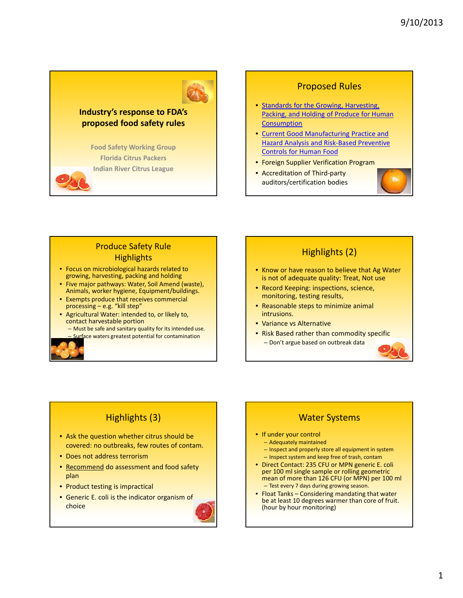### **Industry's response to FDA's proposed food safety rules**

**Food Safety Working Group Florida Citrus Packers Indian River Citrus League**

# Proposed Rules

- Standards for the Growing, Harvesting, Packing, and Holding of Produce for Human **Consumption**
- Current Good Manufacturing Practice and Hazard Analysis and Risk‐Based Preventive Controls for Human Food
- Foreign Supplier Verification Program
- Accreditation of Third‐party auditors/certification bodies



### Produce Safety Rule **Highlights**

- Focus on microbiological hazards related to growing, harvesting, packing and holding
- Five major pathways: Water, Soil Amend (waste), Animals, worker hygiene, Equipment/buildings.
- Exempts produce that receives commercial processing – e.g. "kill step"
- Agricultural Water: intended to, or likely to, contact harvestable portion
	- Must be safe and sanitary quality for its intended use.
	- Surface waters greatest potential for contamination



# Highlights (2)

- Know or have reason to believe that Ag Water is not of adequate quality: Treat, Not use
- Record Keeping: inspections, science, monitoring, testing results,
- Reasonable steps to minimize animal **intrusions**
- Variance vs Alternative
- Risk Based rather than commodity specific

– Don't argue based on outbreak data

# Highlights (3)

- Ask the question whether citrus should be covered: no outbreaks, few routes of contam.
- Does not address terrorism
- Recommend do assessment and food safety plan
- Product testing is impractical
- Generic E. coli is the indicator organism of choice



# Water Systems

- If under your control
	- Adequately maintained
	- Inspect and properly store all equipment in system
	- Inspect system and keep free of trash, contam
- Direct Contact: 235 CFU or MPN generic E. coli mean of more than 126 CFU (or MPN) per 100 ml – Test every 7 days during growing season.
- Float Tanks Considering mandating that water be at least 10 degrees warmer than core of fruit. (hour by hour monitoring)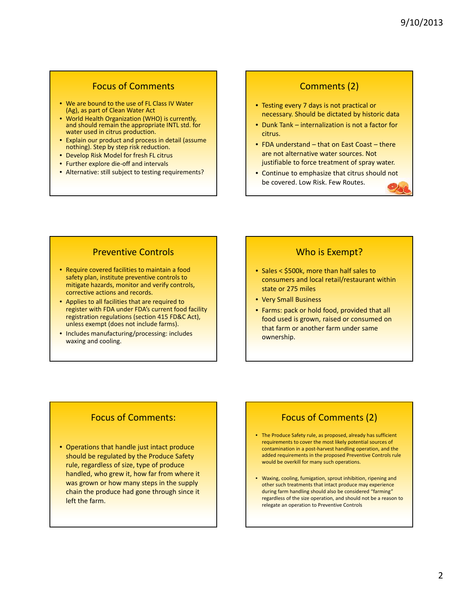# Focus of Comments

- We are bound to the use of FL Class IV Water (Ag), as part of Clean Water Act
- World Health Organization (WHO) is currently, and should remain the appropriate INTL std. for water used in citrus production.
- Explain our product and process in detail (assume nothing). Step by step risk reduction.
- Develop Risk Model for fresh FL citrus
- Further explore die‐off and intervals
- Alternative: still subject to testing requirements?

#### Comments (2)

- Testing every 7 days is not practical or necessary. Should be dictated by historic data
- Dunk Tank internalization is not a factor for citrus.
- FDA understand that on East Coast there are not alternative water sources. Not justifiable to force treatment of spray water.
- Continue to emphasize that citrus should not be covered. Low Risk. Few Routes.

### Preventive Controls

- Require covered facilities to maintain a food safety plan, institute preventive controls to mitigate hazards, monitor and verify controls, corrective actions and records.
- Applies to all facilities that are required to register with FDA under FDA's current food facility registration regulations (section 415 FD&C Act), unless exempt (does not include farms).
- Includes manufacturing/processing: includes waxing and cooling.

# Who is Exempt?

- Sales < \$500k, more than half sales to consumers and local retail/restaurant within state or 275 miles
- Very Small Business
- Farms: pack or hold food, provided that all food used is grown, raised or consumed on that farm or another farm under same ownership.

## Focus of Comments:

• Operations that handle just intact produce should be regulated by the Produce Safety rule, regardless of size, type of produce handled, who grew it, how far from where it was grown or how many steps in the supply chain the produce had gone through since it left the farm.

# Focus of Comments (2)

- The Produce Safety rule, as proposed, already has sufficient requirements to cover the most likely potential sources of contamination in a post‐harvest handling operation, and the added requirements in the proposed Preventive Controls rule would be overkill for many such operations.
- Waxing, cooling, fumigation, sprout inhibition, ripening and other such treatments that intact produce may experience during farm handling should also be considered "farming" regardless of the size operation, and should not be a reason to relegate an operation to Preventive Controls